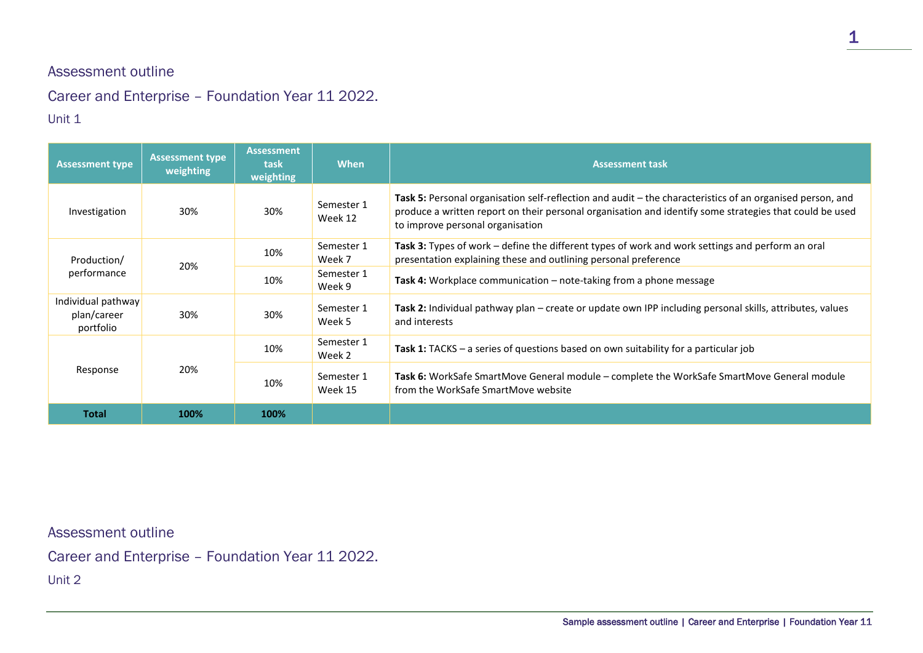## Assessment outline

## Career and Enterprise – Foundation Year 11 2022.

## Unit 1

| <b>Assessment type</b>                         | <b>Assessment type</b><br>weighting | <b>Assessment</b><br>task<br>weighting | <b>When</b>           | <b>Assessment task</b>                                                                                                                                                                                                                                   |
|------------------------------------------------|-------------------------------------|----------------------------------------|-----------------------|----------------------------------------------------------------------------------------------------------------------------------------------------------------------------------------------------------------------------------------------------------|
| Investigation                                  | 30%                                 | 30%                                    | Semester 1<br>Week 12 | Task 5: Personal organisation self-reflection and audit – the characteristics of an organised person, and<br>produce a written report on their personal organisation and identify some strategies that could be used<br>to improve personal organisation |
| Production/<br>performance                     | 20%                                 | 10%                                    | Semester 1<br>Week 7  | <b>Task 3:</b> Types of work – define the different types of work and work settings and perform an oral<br>presentation explaining these and outlining personal preference                                                                               |
|                                                |                                     | 10%                                    | Semester 1<br>Week 9  | Task 4: Workplace communication - note-taking from a phone message                                                                                                                                                                                       |
| Individual pathway<br>plan/career<br>portfolio | 30%                                 | 30%                                    | Semester 1<br>Week 5  | Task 2: Individual pathway plan – create or update own IPP including personal skills, attributes, values<br>and interests                                                                                                                                |
| Response                                       | 20%                                 | 10%                                    | Semester 1<br>Week 2  | <b>Task 1:</b> TACKS – a series of questions based on own suitability for a particular job                                                                                                                                                               |
|                                                |                                     | 10%                                    | Semester 1<br>Week 15 | Task 6: WorkSafe SmartMove General module – complete the WorkSafe SmartMove General module<br>from the WorkSafe SmartMove website                                                                                                                        |
| <b>Total</b>                                   | 100%                                | 100%                                   |                       |                                                                                                                                                                                                                                                          |

Assessment outline

Career and Enterprise – Foundation Year 11 2022.

Unit 2